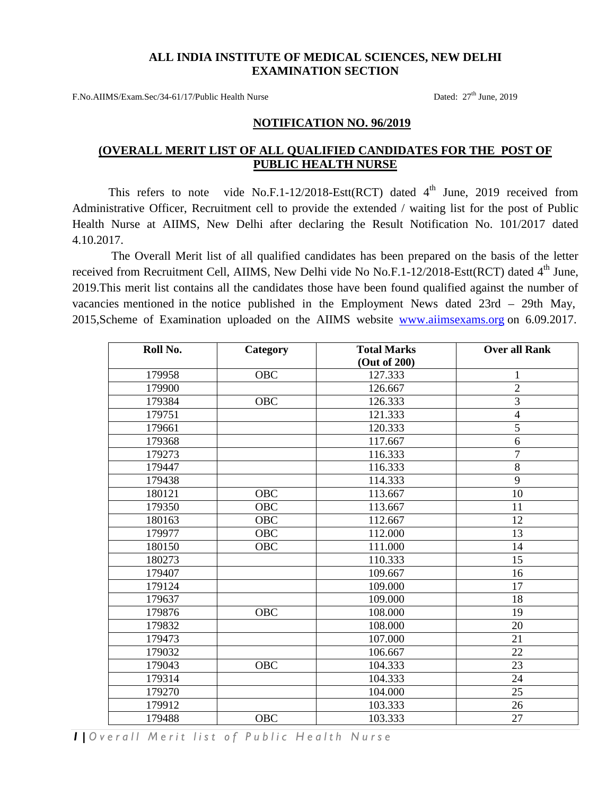## **ALL INDIA INSTITUTE OF MEDICAL SCIENCES, NEW DELHI EXAMINATION SECTION**

F.No.AIIMS/Exam.Sec/34-61/17/Public Health Nurse Dated: 27<sup>th</sup> June, 2019

## **NOTIFICATION NO. 96/2019**

## **(OVERALL MERIT LIST OF ALL QUALIFIED CANDIDATES FOR THE POST OF PUBLIC HEALTH NURSE**

This refers to note vide No.F.1-12/2018-Estt(RCT) dated  $4<sup>th</sup>$  June, 2019 received from Administrative Officer, Recruitment cell to provide the extended / waiting list for the post of Public Health Nurse at AIIMS, New Delhi after declaring the Result Notification No. 101/2017 dated 4.10.2017.

The Overall Merit list of all qualified candidates has been prepared on the basis of the letter received from Recruitment Cell, AIIMS, New Delhi vide No No.F.1-12/2018-Estt(RCT) dated 4<sup>th</sup> June, 2019.This merit list contains all the candidates those have been found qualified against the number of vacancies mentioned in the notice published in the Employment News dated 23rd – 29th May, 2015,Scheme of Examination uploaded on the AIIMS website [www.aiimsexams.org](http://www.aiimsexams.org/) on 6.09.2017.

| Roll No. | <b>Category</b>   | <b>Total Marks</b> | <b>Over all Rank</b> |
|----------|-------------------|--------------------|----------------------|
|          |                   | (Out of 200)       |                      |
| 179958   | $\overline{O}$ BC | 127.333            | 1                    |
| 179900   |                   | 126.667            | $\overline{c}$       |
| 179384   | <b>OBC</b>        | 126.333            | $\overline{3}$       |
| 179751   |                   | 121.333            | $\overline{4}$       |
| 179661   |                   | 120.333            | $\overline{5}$       |
| 179368   |                   | 117.667            | 6                    |
| 179273   |                   | 116.333            | $\overline{7}$       |
| 179447   |                   | 116.333            | $\overline{8}$       |
| 179438   |                   | 114.333            | 9                    |
| 180121   | <b>OBC</b>        | 113.667            | 10                   |
| 179350   | <b>OBC</b>        | 113.667            | 11                   |
| 180163   | <b>OBC</b>        | 112.667            | $\overline{12}$      |
| 179977   | <b>OBC</b>        | 112.000            | 13                   |
| 180150   | <b>OBC</b>        | 111.000            | 14                   |
| 180273   |                   | 110.333            | 15                   |
| 179407   |                   | 109.667            | 16                   |
| 179124   |                   | 109.000            | 17                   |
| 179637   |                   | 109.000            | 18                   |
| 179876   | <b>OBC</b>        | 108.000            | 19                   |
| 179832   |                   | 108.000            | 20                   |
| 179473   |                   | 107.000            | 21                   |
| 179032   |                   | 106.667            | 22                   |
| 179043   | <b>OBC</b>        | 104.333            | 23                   |
| 179314   |                   | 104.333            | 24                   |
| 179270   |                   | 104.000            | 25                   |
| 179912   |                   | 103.333            | 26                   |
| 179488   | <b>OBC</b>        | 103.333            | 27                   |

*| Overall Merit list of Public Health Nurse*